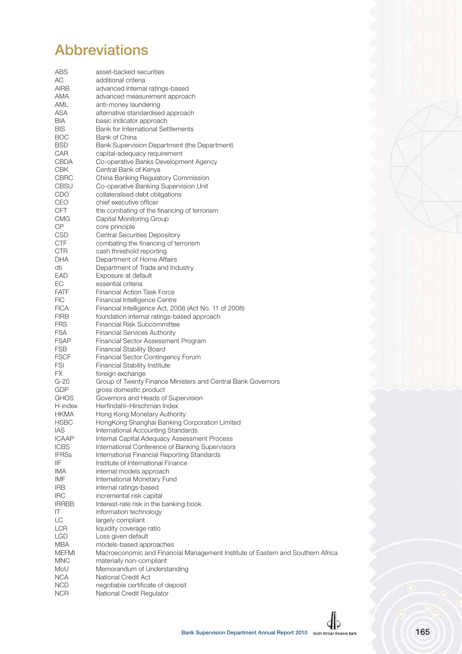## **Abbreviations**

| ABS          |         | asset-backed securities                                                         |
|--------------|---------|---------------------------------------------------------------------------------|
| AС           |         | additional criteria                                                             |
| AIRB         |         | advanced internal ratings-based                                                 |
| AMA          |         | advanced measurement approach                                                   |
| AML          |         | anti-money laundering                                                           |
| <b>ASA</b>   |         | alternative standardised approach                                               |
| <b>BIA</b>   |         | basic indicator approach                                                        |
| <b>BIS</b>   |         | <b>Bank for International Settlements</b>                                       |
| <b>BOC</b>   |         | Bank of China                                                                   |
| <b>BSD</b>   |         | Bank Supervision Department (the Department)                                    |
| CAR          |         | capital-adequacy requirement                                                    |
| <b>CBDA</b>  |         | Co-operative Banks Development Agency                                           |
| <b>CBK</b>   |         | Central Bank of Kenya                                                           |
| <b>CBRC</b>  |         | China Banking Regulatory Commission                                             |
| <b>CBSU</b>  |         | Co-operative Banking Supervision Unit                                           |
| <b>CDO</b>   |         | collateralised debt obligations                                                 |
| CEO          |         | chief executive officer                                                         |
| <b>CFT</b>   |         | the combating of the financing of terrorism                                     |
| <b>CMG</b>   |         | Capital Monitoring Group                                                        |
| <b>CP</b>    |         | core principle                                                                  |
| <b>CSD</b>   |         | <b>Central Securities Depository</b>                                            |
| <b>CTF</b>   |         | combating the financing of terrorism                                            |
| <b>CTR</b>   |         |                                                                                 |
|              |         | cash threshold reporting                                                        |
| <b>DHA</b>   |         | Department of Home Affairs                                                      |
| dti          |         | Department of Trade and Industry                                                |
| EAD          |         | Exposure at default                                                             |
| EC           |         | essential criteria                                                              |
| <b>FATF</b>  |         | <b>Financial Action Task Force</b>                                              |
| <b>FIC</b>   |         | Financial Intelligence Centre                                                   |
| <b>FICA</b>  |         | Financial Intelligence Act, 2008 (Act No. 11 of 2008)                           |
| <b>FIRB</b>  |         | foundation internal ratings-based approach                                      |
| <b>FRS</b>   |         | Financial Risk Subcommittee                                                     |
| <b>FSA</b>   |         | <b>Financial Services Authority</b>                                             |
| <b>FSAP</b>  |         | Financial Sector Assessment Program                                             |
| FSB          |         | <b>Financial Stability Board</b>                                                |
| <b>FSCF</b>  |         | Financial Sector Contingency Forum                                              |
| <b>FSI</b>   |         | <b>Financial Stability Institute</b>                                            |
| <b>FX</b>    |         | foreign exchange                                                                |
| $G-20$       |         | Group of Twenty Finance Ministers and Central Bank Governors                    |
| <b>GDP</b>   |         | gross domestic product                                                          |
| <b>GHOS</b>  |         | Governors and Heads of Supervision                                              |
|              | H-index | Herfindahl-Hirschman Index                                                      |
| HKMA         |         | Hong Kong Monetary Authority                                                    |
| <b>HSBC</b>  |         | HongKong Shanghai Banking Corporation Limited                                   |
| <b>IAS</b>   |         | International Accounting Standards                                              |
| <b>ICAAP</b> |         | Internal Capital Adequacy Assessment Process                                    |
| <b>ICBS</b>  |         | International Conference of Banking Supervisors                                 |
| <b>IFRSs</b> |         | International Financial Reporting Standards                                     |
| <b>IIF</b>   |         | Institute of International Finance                                              |
| IMA          |         | internal models approach                                                        |
| <b>IMF</b>   |         | International Monetary Fund                                                     |
| <b>IRB</b>   |         | internal ratings-based                                                          |
| <b>IRC</b>   |         | incremental risk capital                                                        |
| <b>IRRBB</b> |         | Interest-rate risk in the banking book                                          |
| IT           |         | information technology                                                          |
| LC           |         | largely compliant                                                               |
| <b>LCR</b>   |         | liquidity coverage ratio                                                        |
| LGD          |         | Loss given default                                                              |
| <b>MBA</b>   |         | models-based approaches                                                         |
| <b>MEFMI</b> |         | Macroeconomic and Financial Management Institute of Eastern and Southern Africa |
| <b>MNC</b>   |         | materially non-compliant                                                        |
| MoU          |         |                                                                                 |
| <b>NCA</b>   |         | Memorandum of Understanding<br>National Credit Act                              |
| <b>NCD</b>   |         |                                                                                 |
|              |         | negotiable certificate of deposit                                               |
| <b>NCR</b>   |         | National Credit Regulator                                                       |